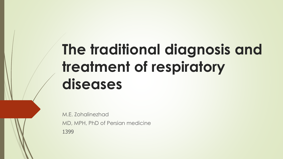## **The traditional diagnosis and treatment of respiratory diseases**

M.E. Zohalinezhad MD, MPH, PhD of Persian medicine 1399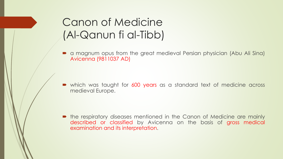## Canon of Medicine (Al-Qanun fi al-Tibb)

 a magnum opus from the great medieval Persian physician (Abu Ali Sina) Avicenna (9811037 AD)

which was taught for 600 years as a standard text of medicine across medieval Europe.

• the respiratory diseases mentioned in the Canon of Medicine are mainly described or classified by Avicenna on the basis of gross medical examination and its interpretation.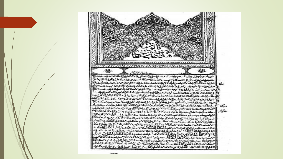www.nununununununununununun ソンマン・アンティング マンスクローマングラング اخلاعاته شاندوسي وتجاحشان والسلوة عاجدناه للذ يرتبا لباللب واستناها حلابيق سل  $\sum_{i=1}^{n}$ 氐 سوومت 3131. كاللنخاضة تماذا وختلا سكالان ملفاء طرف مغا - 121 "Halter there じどしつ  $\sim$  1  $\sim$ حذاب  $1.1$   $\leq n$ ∽ Step-الكارسية عذاليان handler." **ISSUED UP AT LEVIL** خصلانتنا والاحاضاليكم والغذ المتالية حفظالف يتكالان خنتان خلياننا فدؤلاكان تتلذ الفر الأوك موسندنا لراشقا لاذ لنضلا باستارالتدا المالية فلاخلاط المتتليا فخاصرته مؤعشنا ملتعا باللطاسة مؤدفاء

حجبت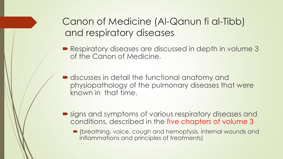Canon of Medicine (Al-Qanun fi al-Tibb) and respiratory diseases

- Respiratory diseases are discussed in depth in volume 3 of the Canon of Medicine.
- $\blacksquare$  discusses in detail the functional anatomy and physiopathology of the pulmonary diseases that were known in that time.
- signs and symptoms of various respiratory diseases and conditions, described in the five chapters of volume 3
	- (breathing, voice, cough and hemoptysis, internal wounds and inflammations and principles of treatments)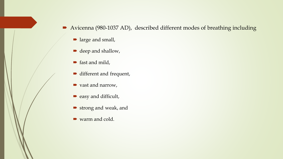Avicenna (980-1037 AD), described different modes of breathing including

- large and small,
- deep and shallow,
- **fast and mild,**
- different and frequent,
- vast and narrow,
- easy and difficult,
- strong and weak, and
- warm and cold.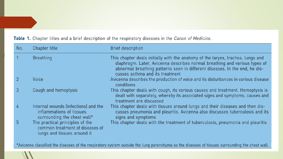| No. | Chapter title                                                                                     | <b>Brief description</b>                                                                                                                                                                                                                                                        |
|-----|---------------------------------------------------------------------------------------------------|---------------------------------------------------------------------------------------------------------------------------------------------------------------------------------------------------------------------------------------------------------------------------------|
|     | <b>Breathing</b>                                                                                  | This chapter deals initially with the anatomy of the larynx, trachea, lungs and<br>diaphragm. Later, Avicenna describes normal breathing and various types of<br>abnormal breathing patterns seen in different diseases. In the end, he dis-<br>cusses asthma and its treatment |
|     | Voice                                                                                             | Avicenna describes the production of voice and its disturbances in various disease<br>conditions                                                                                                                                                                                |
| 3   | Cough and hemoptysis                                                                              | This chapter deals with cough, its various causes and treatment. Hemoptysis is<br>dealt with separately, whereby its associated signs and symptoms, causes and<br>treatment are discussed                                                                                       |
| 4   | Internal wounds (infections) and the<br>inflammations of tissues<br>surrounding the chest wall*   | This chapter deals with tissues around lungs and their diseases and then dis-<br>cusses pneumonia and pleuritis. Avicenna also discusses tuberculosis and its<br>signs and symptoms                                                                                             |
| 5.  | The practical principles of the<br>common treatment of diseases of<br>lungs and tissues around it | This chapter deals with the treatment of tuberculosis, pneumonia and pleuritis                                                                                                                                                                                                  |

## Table 1. Chapter titles and a brief description of the respiratory diseases in the Canon of Medicine.

\*Avicenna classified the diseases of the respiratory system outside the lung parenchyma as the diseases of tissues surrounding the chest wall.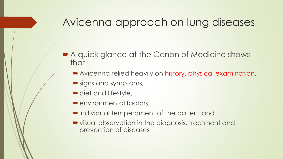## Avicenna approach on lung diseases

- A quick glance at the Canon of Medicine shows that
	- Avicenna relied heavily on history, physical examination,
	- signs and symptoms,
	- diet and lifestyle,
	- **P**environmental factors,
	- individual temperament of the patient and
	- visual observation in the diagnosis, treatment and prevention of diseases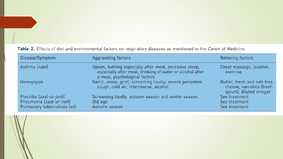Table 2. Effects of diet and environmental factors on respiratory diseases as mentioned in the Canon of Medicine.

| Disease/Symptom                                                                      | Aggravating factors                                                                                                                                  | Relieving factors                                                                  |
|--------------------------------------------------------------------------------------|------------------------------------------------------------------------------------------------------------------------------------------------------|------------------------------------------------------------------------------------|
| Asthma [rabv]                                                                        | Opium, bathing especially after meal, excessive sleep,<br>especially after meal, drinking of water or alcohol after<br>a meal, psychological factors | Chest massage, laxative,<br>exercise                                               |
| <b>Hemoptysis</b>                                                                    | Garlic, onion, grief, screaming loudly, severe persistent<br>cough, cold air, intercourse, alcohol                                                   | Butter, fresh and salt-free<br>cheese, narcotics (fresh<br>opium), diluted vinegar |
| Pleuritis (zaat-ul-janb)<br>Pneumonia (zaat-ur-rieh)<br>Pulmonary tuberculosis (sil) | Screaming loudly, autumn season and winter season<br>Old age<br>Autumn season                                                                        | See treatment<br>See treatment<br>See treatment                                    |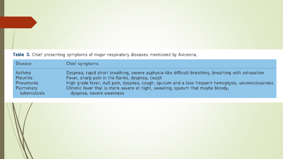Table 3. Chief presenting symptoms of major respiratory diseases mentioned by Avicenna.

| <b>Disease</b>   | Chief symptoms                                                                                      |
|------------------|-----------------------------------------------------------------------------------------------------|
| Asthma           | Dyspnea, rapid short breathing, severe asphyxia-like difficult breathing, breathing with exhaustion |
| <b>Pleuritis</b> | Fever, sharp pain in the flanks, dyspnea, cough                                                     |
| Pneumonia        | High grade fever, dull pain, dyspnea, cough, sputum and a less frequent hemoptysis, unconsciousness |
| Pulmonary        | Chronic fever that is more severe at night, sweating, sputum that maybe bloody,                     |
| tuberculosis     | dyspnea, severe weakness                                                                            |